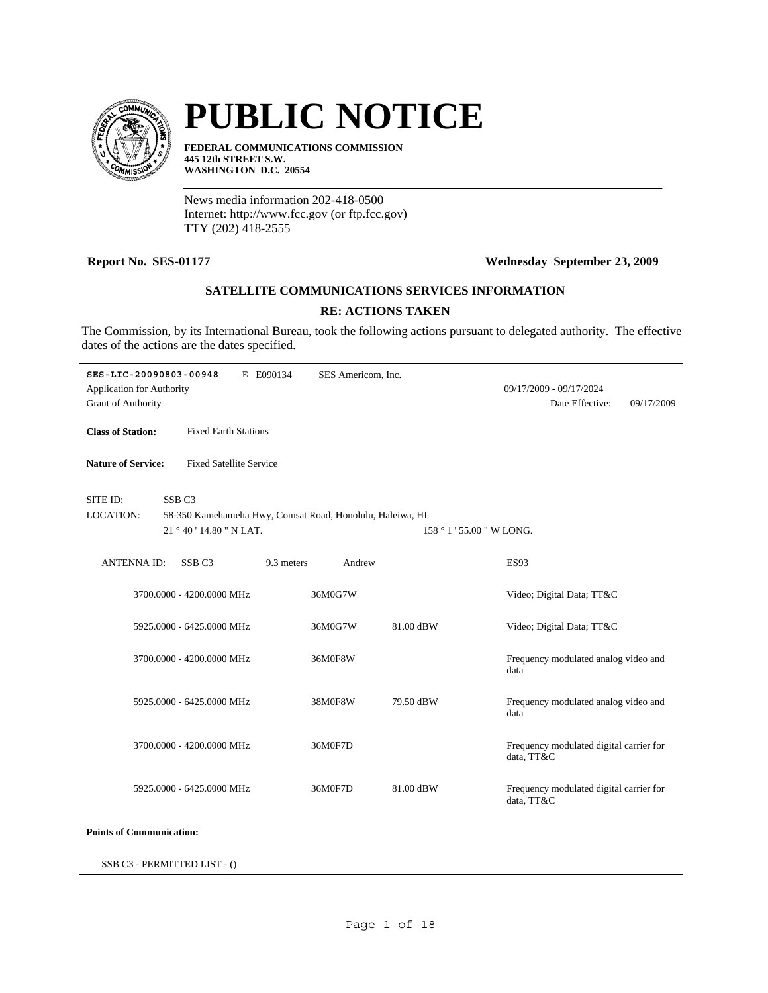

# **PUBLIC NOTICE**

**FEDERAL COMMUNICATIONS COMMISSION 445 12th STREET S.W. WASHINGTON D.C. 20554**

News media information 202-418-0500 Internet: http://www.fcc.gov (or ftp.fcc.gov) TTY (202) 418-2555

### **Report No. SES-01177 Wednesday September 23, 2009**

## **SATELLITE COMMUNICATIONS SERVICES INFORMATION**

### **RE: ACTIONS TAKEN**

The Commission, by its International Bureau, took the following actions pursuant to delegated authority. The effective dates of the actions are the dates specified.

| SES-LIC-20090803-00948          |                                | E E090134<br>SES Americom, Inc.                           |           |                                                       |            |
|---------------------------------|--------------------------------|-----------------------------------------------------------|-----------|-------------------------------------------------------|------------|
| Application for Authority       |                                |                                                           |           | 09/17/2009 - 09/17/2024                               |            |
| <b>Grant of Authority</b>       |                                |                                                           |           | Date Effective:                                       | 09/17/2009 |
|                                 |                                |                                                           |           |                                                       |            |
| <b>Class of Station:</b>        | <b>Fixed Earth Stations</b>    |                                                           |           |                                                       |            |
|                                 |                                |                                                           |           |                                                       |            |
| <b>Nature of Service:</b>       | <b>Fixed Satellite Service</b> |                                                           |           |                                                       |            |
|                                 |                                |                                                           |           |                                                       |            |
| SITE ID:                        | SSB <sub>C3</sub>              |                                                           |           |                                                       |            |
| <b>LOCATION:</b>                |                                | 58-350 Kamehameha Hwy, Comsat Road, Honolulu, Haleiwa, HI |           |                                                       |            |
|                                 | 21 ° 40 ' 14.80 " N LAT.       |                                                           |           | 158 ° 1 ' 55.00 " W LONG.                             |            |
|                                 |                                |                                                           |           |                                                       |            |
| <b>ANTENNA ID:</b>              | SSB <sub>C3</sub>              | Andrew<br>9.3 meters                                      |           | <b>ES93</b>                                           |            |
|                                 |                                |                                                           |           |                                                       |            |
|                                 | 3700.0000 - 4200.0000 MHz      | 36M0G7W                                                   |           | Video; Digital Data; TT&C                             |            |
|                                 |                                |                                                           |           |                                                       |            |
|                                 | 5925.0000 - 6425.0000 MHz      | 36M0G7W                                                   | 81.00 dBW | Video; Digital Data; TT&C                             |            |
|                                 |                                |                                                           |           |                                                       |            |
|                                 | 3700.0000 - 4200.0000 MHz      | 36M0F8W                                                   |           | Frequency modulated analog video and                  |            |
|                                 |                                |                                                           |           | data                                                  |            |
|                                 |                                |                                                           |           |                                                       |            |
|                                 | 5925.0000 - 6425.0000 MHz      | 38M0F8W                                                   | 79.50 dBW | Frequency modulated analog video and                  |            |
|                                 |                                |                                                           |           | data                                                  |            |
|                                 |                                |                                                           |           |                                                       |            |
|                                 | 3700.0000 - 4200.0000 MHz      | 36M0F7D                                                   |           | Frequency modulated digital carrier for<br>data, TT&C |            |
|                                 |                                |                                                           |           |                                                       |            |
|                                 | 5925.0000 - 6425.0000 MHz      | 36M0F7D                                                   | 81.00 dBW | Frequency modulated digital carrier for               |            |
|                                 |                                |                                                           |           | data, TT&C                                            |            |
|                                 |                                |                                                           |           |                                                       |            |
| <b>Points of Communication:</b> |                                |                                                           |           |                                                       |            |

SSB C3 - PERMITTED LIST - ()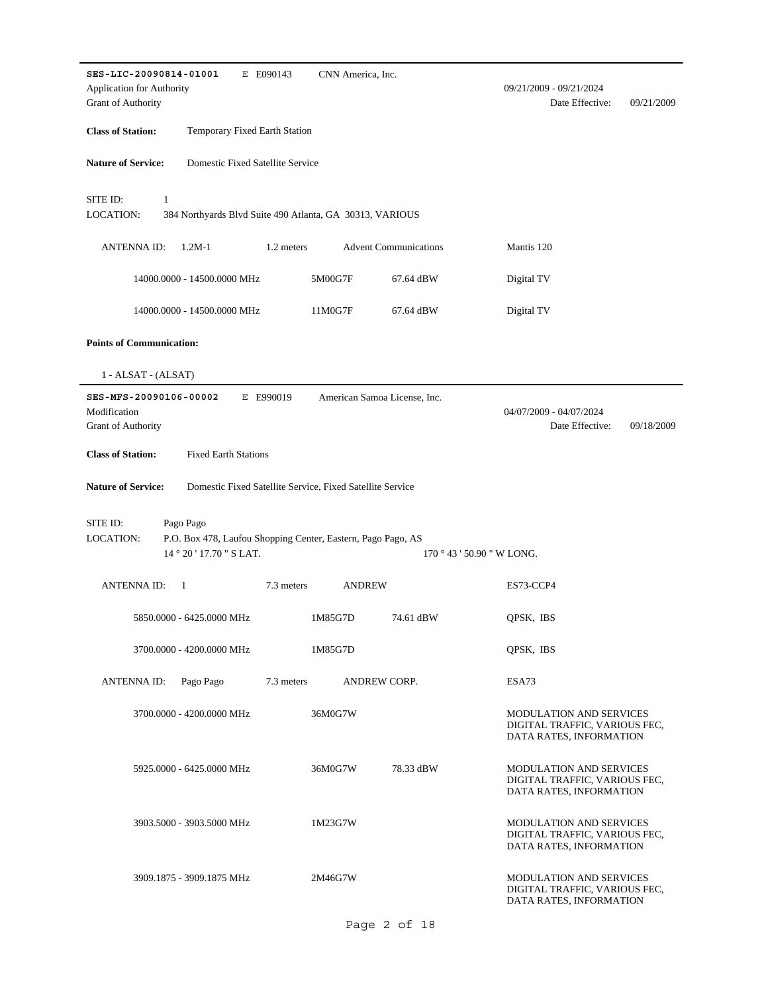| SES-LIC-20090814-01001<br>E E090143<br>CNN America, Inc.                                                  |                                                                                            |
|-----------------------------------------------------------------------------------------------------------|--------------------------------------------------------------------------------------------|
| Application for Authority<br><b>Grant of Authority</b>                                                    | 09/21/2009 - 09/21/2024<br>Date Effective:<br>09/21/2009                                   |
| <b>Class of Station:</b><br>Temporary Fixed Earth Station                                                 |                                                                                            |
| <b>Nature of Service:</b><br>Domestic Fixed Satellite Service                                             |                                                                                            |
|                                                                                                           |                                                                                            |
| $\mathbf{1}$<br>SITE ID:<br>LOCATION:<br>384 Northyards Blvd Suite 490 Atlanta, GA 30313, VARIOUS         |                                                                                            |
| <b>Advent Communications</b><br><b>ANTENNA ID:</b><br>$1.2M-1$<br>1.2 meters                              | Mantis 120                                                                                 |
| 5M00G7F<br>14000.0000 - 14500.0000 MHz<br>67.64 dBW                                                       | Digital TV                                                                                 |
| 14000.0000 - 14500.0000 MHz<br>11M0G7F<br>67.64 dBW                                                       | Digital TV                                                                                 |
| <b>Points of Communication:</b>                                                                           |                                                                                            |
| $1 - ALSAT - (ALSAT)$                                                                                     |                                                                                            |
| SES-MFS-20090106-00002<br>E E990019<br>American Samoa License, Inc.                                       |                                                                                            |
| Modification<br>Grant of Authority                                                                        | 04/07/2009 - 04/07/2024<br>Date Effective:<br>09/18/2009                                   |
| <b>Class of Station:</b><br><b>Fixed Earth Stations</b>                                                   |                                                                                            |
| <b>Nature of Service:</b><br>Domestic Fixed Satellite Service, Fixed Satellite Service                    |                                                                                            |
|                                                                                                           |                                                                                            |
| SITE ID:<br>Pago Pago<br><b>LOCATION:</b><br>P.O. Box 478, Laufou Shopping Center, Eastern, Pago Pago, AS |                                                                                            |
| 14 ° 20 ' 17.70 " S LAT.                                                                                  | $170°43'50.90"$ W LONG.                                                                    |
| <b>ANTENNA ID:</b><br>7.3 meters<br><b>ANDREW</b><br>-1                                                   | ES73-CCP4                                                                                  |
| 1M85G7D<br>5850.0000 - 6425.0000 MHz<br>74.61 dBW                                                         | QPSK, IBS                                                                                  |
| 3700.0000 - 4200.0000 MHz<br>1M85G7D                                                                      | OPSK, IBS                                                                                  |
| Pago Pago<br>7.3 meters<br><b>ANDREW CORP.</b><br><b>ANTENNA ID:</b>                                      | ESA73                                                                                      |
| 3700.0000 - 4200.0000 MHz<br>36M0G7W                                                                      | <b>MODULATION AND SERVICES</b><br>DIGITAL TRAFFIC, VARIOUS FEC,<br>DATA RATES, INFORMATION |
| 5925.0000 - 6425.0000 MHz<br>36M0G7W<br>78.33 dBW                                                         | <b>MODULATION AND SERVICES</b><br>DIGITAL TRAFFIC, VARIOUS FEC,<br>DATA RATES, INFORMATION |
| 3903.5000 - 3903.5000 MHz<br>1M23G7W                                                                      | MODULATION AND SERVICES<br>DIGITAL TRAFFIC, VARIOUS FEC,<br>DATA RATES, INFORMATION        |
| 3909.1875 - 3909.1875 MHz<br>2M46G7W                                                                      | MODULATION AND SERVICES<br>DIGITAL TRAFFIC, VARIOUS FEC,<br>DATA RATES, INFORMATION        |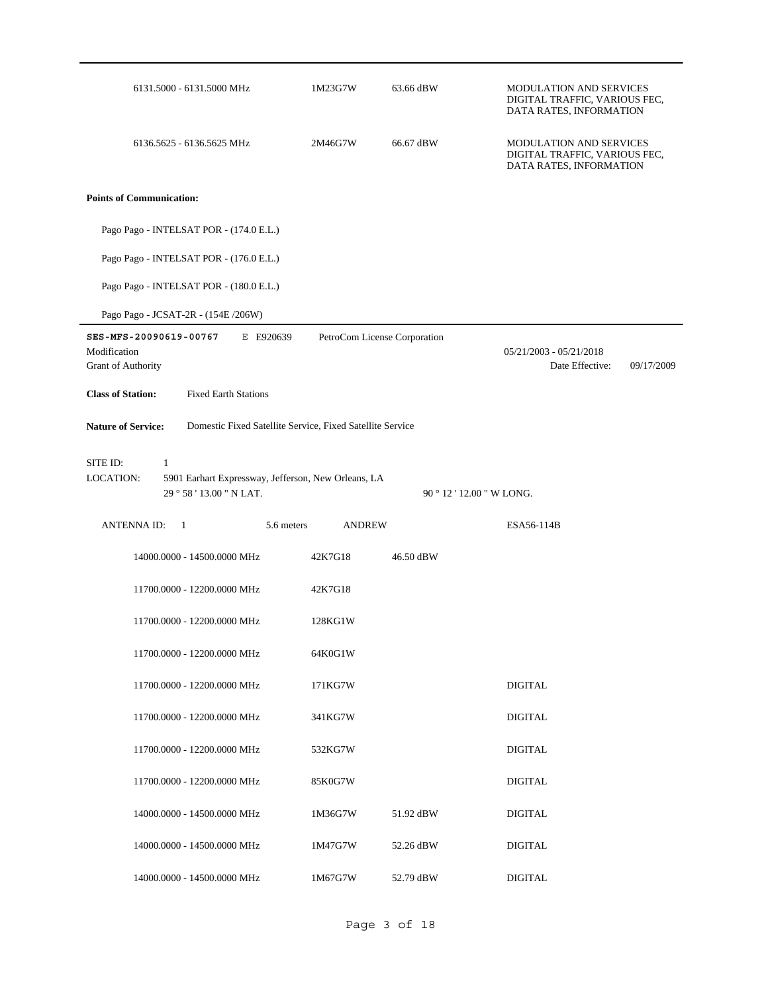| 6131.5000 - 6131.5000 MHz                                                              | 1M23G7W       | 63.66 dBW                    | <b>MODULATION AND SERVICES</b><br>DIGITAL TRAFFIC, VARIOUS FEC,<br>DATA RATES, INFORMATION |
|----------------------------------------------------------------------------------------|---------------|------------------------------|--------------------------------------------------------------------------------------------|
| 6136.5625 - 6136.5625 MHz                                                              | 2M46G7W       | 66.67 dBW                    | <b>MODULATION AND SERVICES</b><br>DIGITAL TRAFFIC, VARIOUS FEC,<br>DATA RATES, INFORMATION |
| <b>Points of Communication:</b>                                                        |               |                              |                                                                                            |
| Pago Pago - INTELSAT POR - (174.0 E.L.)                                                |               |                              |                                                                                            |
| Pago Pago - INTELSAT POR - (176.0 E.L.)                                                |               |                              |                                                                                            |
| Pago Pago - INTELSAT POR - (180.0 E.L.)                                                |               |                              |                                                                                            |
| Pago Pago - JCSAT-2R - (154E /206W)                                                    |               |                              |                                                                                            |
| SES-MFS-20090619-00767<br>E E920639<br>Modification<br>Grant of Authority              |               | PetroCom License Corporation | $05/21/2003 - 05/21/2018$<br>Date Effective:<br>09/17/2009                                 |
| <b>Class of Station:</b><br><b>Fixed Earth Stations</b>                                |               |                              |                                                                                            |
| <b>Nature of Service:</b><br>Domestic Fixed Satellite Service, Fixed Satellite Service |               |                              |                                                                                            |
| SITE ID:<br>1<br>LOCATION:<br>5901 Earhart Expressway, Jefferson, New Orleans, LA      |               |                              |                                                                                            |
| 29 ° 58 ' 13.00 " N LAT.                                                               |               |                              | 90 ° 12 ' 12.00 " W LONG.                                                                  |
| <b>ANTENNAID:</b><br>5.6 meters<br>-1                                                  | <b>ANDREW</b> |                              | ESA56-114B                                                                                 |
| 14000.0000 - 14500.0000 MHz                                                            | 42K7G18       | 46.50 dBW                    |                                                                                            |
| 11700.0000 - 12200.0000 MHz                                                            | 42K7G18       |                              |                                                                                            |
| 11700.0000 - 12200.0000 MHz                                                            | 128KG1W       |                              |                                                                                            |
| 11700.0000 - 12200.0000 MHz                                                            | 64K0G1W       |                              |                                                                                            |
| 11700.0000 - 12200.0000 MHz                                                            | 171KG7W       |                              | <b>DIGITAL</b>                                                                             |
| 11700.0000 - 12200.0000 MHz                                                            | 341KG7W       |                              | <b>DIGITAL</b>                                                                             |
| 11700.0000 - 12200.0000 MHz                                                            | 532KG7W       |                              | <b>DIGITAL</b>                                                                             |
| 11700.0000 - 12200.0000 MHz                                                            | 85K0G7W       |                              | <b>DIGITAL</b>                                                                             |
| 14000.0000 - 14500.0000 MHz                                                            | 1M36G7W       | 51.92 dBW                    | <b>DIGITAL</b>                                                                             |
| 14000.0000 - 14500.0000 MHz                                                            | 1M47G7W       | 52.26 dBW                    | <b>DIGITAL</b>                                                                             |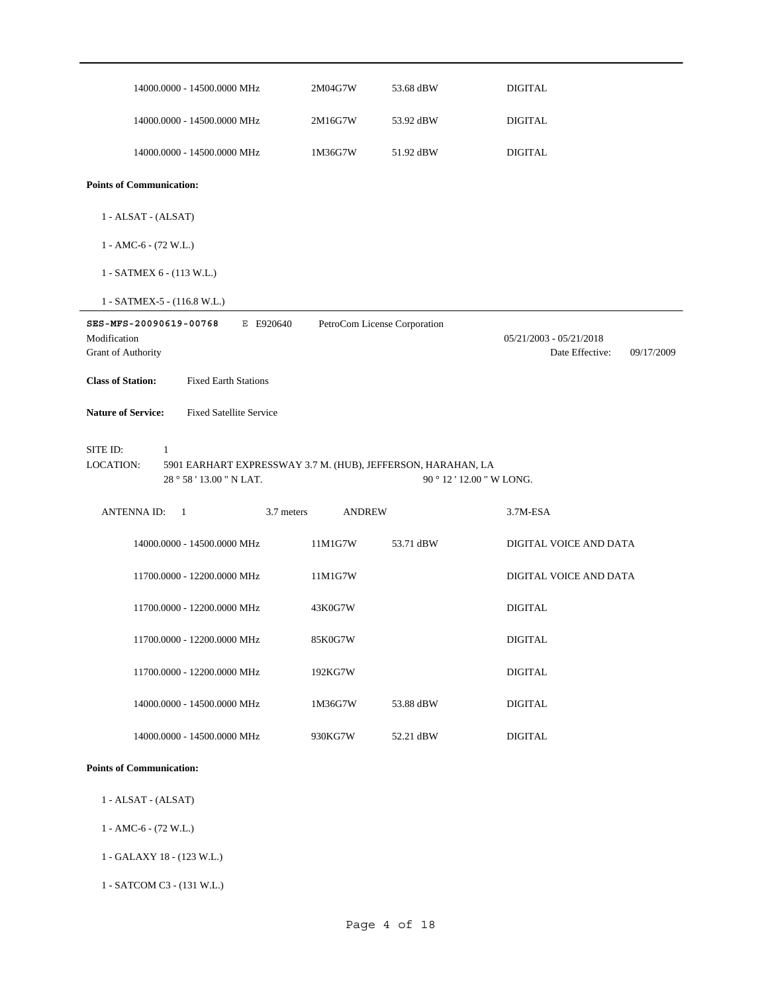| 14000.0000 - 14500.0000 MHz                                                                                                       | 2M04G7W       | 53.68 dBW                    | <b>DIGITAL</b>                                             |
|-----------------------------------------------------------------------------------------------------------------------------------|---------------|------------------------------|------------------------------------------------------------|
| 14000.0000 - 14500.0000 MHz                                                                                                       | 2M16G7W       | 53.92 dBW                    | <b>DIGITAL</b>                                             |
| 14000.0000 - 14500.0000 MHz                                                                                                       | 1M36G7W       | 51.92 dBW                    | <b>DIGITAL</b>                                             |
| <b>Points of Communication:</b>                                                                                                   |               |                              |                                                            |
| 1 - ALSAT - (ALSAT)                                                                                                               |               |                              |                                                            |
| $1 - AMC-6 - (72 W.L.)$                                                                                                           |               |                              |                                                            |
| 1 - SATMEX 6 - (113 W.L.)                                                                                                         |               |                              |                                                            |
| 1 - SATMEX-5 - (116.8 W.L.)                                                                                                       |               |                              |                                                            |
| SES-MFS-20090619-00768<br>E E920640<br>Modification<br>Grant of Authority                                                         |               | PetroCom License Corporation | $05/21/2003 - 05/21/2018$<br>Date Effective:<br>09/17/2009 |
| <b>Class of Station:</b><br><b>Fixed Earth Stations</b>                                                                           |               |                              |                                                            |
| <b>Nature of Service:</b><br><b>Fixed Satellite Service</b>                                                                       |               |                              |                                                            |
| SITE ID:<br>$\mathbf{1}$<br>LOCATION:<br>5901 EARHART EXPRESSWAY 3.7 M. (HUB), JEFFERSON, HARAHAN, LA<br>28 ° 58 ' 13.00 " N LAT. |               |                              | 90 ° 12 ' 12.00 " W LONG.                                  |
| <b>ANTENNAID:</b><br>-1<br>3.7 meters                                                                                             | <b>ANDREW</b> |                              | 3.7M-ESA                                                   |
| 14000.0000 - 14500.0000 MHz                                                                                                       | 11M1G7W       | 53.71 dBW                    | DIGITAL VOICE AND DATA                                     |
| 11700.0000 - 12200.0000 MHz                                                                                                       | 11M1G7W       |                              | DIGITAL VOICE AND DATA                                     |
| 11700.0000 - 12200.0000 MHz                                                                                                       | 43K0G7W       |                              | <b>DIGITAL</b>                                             |
| 11700.0000 - 12200.0000 MHz                                                                                                       | 85K0G7W       |                              | <b>DIGITAL</b>                                             |
| 11700.0000 - 12200.0000 MHz                                                                                                       | 192KG7W       |                              | <b>DIGITAL</b>                                             |
| 14000.0000 - 14500.0000 MHz                                                                                                       | 1M36G7W       | 53.88 dBW                    | <b>DIGITAL</b>                                             |
| 14000.0000 - 14500.0000 MHz                                                                                                       | 930KG7W       | 52.21 dBW                    | <b>DIGITAL</b>                                             |
| <b>Points of Communication:</b>                                                                                                   |               |                              |                                                            |

- 1 ALSAT (ALSAT)
- 1 AMC-6 (72 W.L.)
- 1 GALAXY 18 (123 W.L.)
- 1 SATCOM C3 (131 W.L.)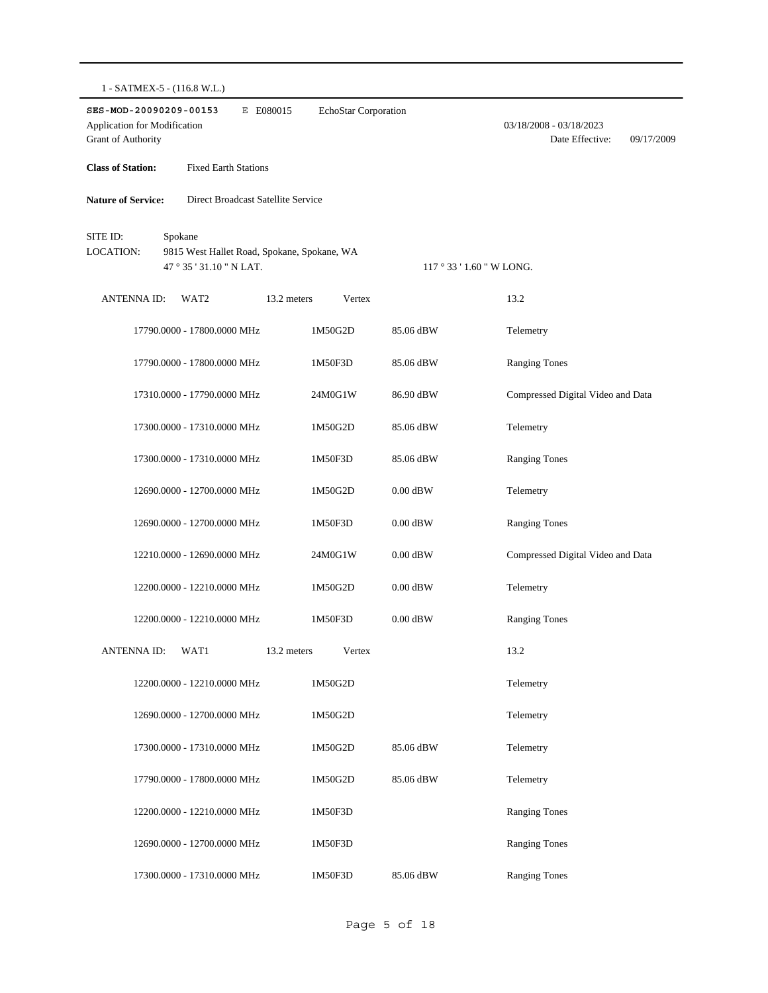| 1 - SATMEX-5 - (116.8 W.L.) |  |
|-----------------------------|--|
|-----------------------------|--|

| SES-MOD-20090209-00153<br>Application for Modification<br>Grant of Authority                                | E E080015<br>EchoStar Corporation |                         | 03/18/2008 - 03/18/2023<br>Date Effective:<br>09/17/2009 |
|-------------------------------------------------------------------------------------------------------------|-----------------------------------|-------------------------|----------------------------------------------------------|
| <b>Class of Station:</b><br><b>Fixed Earth Stations</b>                                                     |                                   |                         |                                                          |
| <b>Nature of Service:</b><br>Direct Broadcast Satellite Service                                             |                                   |                         |                                                          |
| SITE ID:<br>Spokane<br>LOCATION:<br>9815 West Hallet Road, Spokane, Spokane, WA<br>47 ° 35 ' 31.10 " N LAT. |                                   | $117°33'1.60''$ W LONG. |                                                          |
| <b>ANTENNA ID:</b><br>WAT <sub>2</sub>                                                                      | 13.2 meters<br>Vertex             |                         | 13.2                                                     |
| 17790.0000 - 17800.0000 MHz                                                                                 | 1M50G2D                           | 85.06 dBW               | Telemetry                                                |
| 17790.0000 - 17800.0000 MHz                                                                                 | 1M50F3D                           | 85.06 dBW               | <b>Ranging Tones</b>                                     |
| 17310.0000 - 17790.0000 MHz                                                                                 | 24M0G1W                           | 86.90 dBW               | Compressed Digital Video and Data                        |
| 17300.0000 - 17310.0000 MHz                                                                                 | 1M50G2D                           | 85.06 dBW               | Telemetry                                                |
| 17300.0000 - 17310.0000 MHz                                                                                 | 1M50F3D                           | 85.06 dBW               | <b>Ranging Tones</b>                                     |
| 12690.0000 - 12700.0000 MHz                                                                                 | 1M50G2D                           | $0.00$ dBW              | Telemetry                                                |
| 12690.0000 - 12700.0000 MHz                                                                                 | 1M50F3D                           | $0.00$ dBW              | <b>Ranging Tones</b>                                     |
| 12210.0000 - 12690.0000 MHz                                                                                 | 24M0G1W                           | $0.00$ dBW              | Compressed Digital Video and Data                        |
| 12200.0000 - 12210.0000 MHz                                                                                 | 1M50G2D                           | $0.00$ dBW              | Telemetry                                                |
| 12200.0000 - 12210.0000 MHz                                                                                 | 1M50F3D                           | $0.00$ dBW              | <b>Ranging Tones</b>                                     |
| ANTENNA ID:<br>WAT1                                                                                         | 13.2 meters<br>Vertex             |                         | 13.2                                                     |
| 12200.0000 - 12210.0000 MHz                                                                                 | 1M50G2D                           |                         | Telemetry                                                |
| 12690.0000 - 12700.0000 MHz                                                                                 | 1M50G2D                           |                         | Telemetry                                                |
| 17300.0000 - 17310.0000 MHz                                                                                 | 1M50G2D                           | 85.06 dBW               | Telemetry                                                |
| 17790.0000 - 17800.0000 MHz                                                                                 | 1M50G2D                           | 85.06 dBW               | Telemetry                                                |
| 12200.0000 - 12210.0000 MHz                                                                                 | 1M50F3D                           |                         | <b>Ranging Tones</b>                                     |
| 12690.0000 - 12700.0000 MHz                                                                                 | 1M50F3D                           |                         | <b>Ranging Tones</b>                                     |
| 17300.0000 - 17310.0000 MHz                                                                                 | 1M50F3D                           | 85.06 dBW               | <b>Ranging Tones</b>                                     |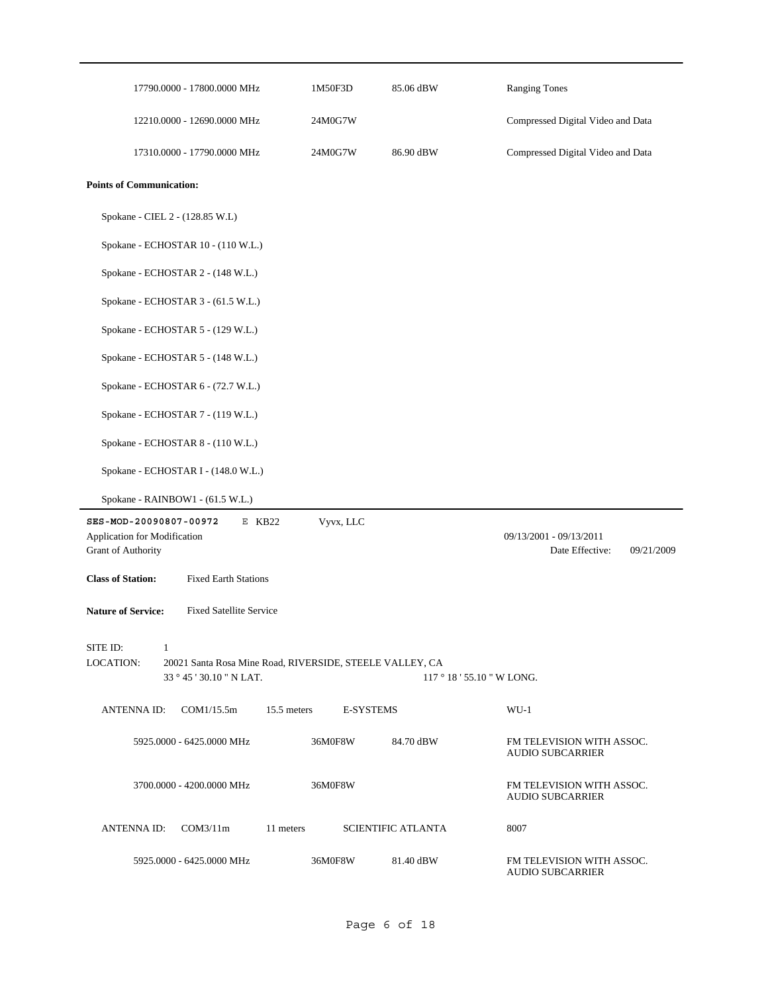|                                                                              | 17790.0000 - 17800.0000 MHz                                                          | 1M50F3D          | 85.06 dBW                 | <b>Ranging Tones</b>                                     |
|------------------------------------------------------------------------------|--------------------------------------------------------------------------------------|------------------|---------------------------|----------------------------------------------------------|
|                                                                              | 12210.0000 - 12690.0000 MHz                                                          | 24M0G7W          |                           | Compressed Digital Video and Data                        |
|                                                                              | 17310.0000 - 17790.0000 MHz                                                          | 24M0G7W          | 86.90 dBW                 | Compressed Digital Video and Data                        |
| <b>Points of Communication:</b>                                              |                                                                                      |                  |                           |                                                          |
| Spokane - CIEL 2 - (128.85 W.L)                                              |                                                                                      |                  |                           |                                                          |
|                                                                              | Spokane - ECHOSTAR 10 - (110 W.L.)                                                   |                  |                           |                                                          |
|                                                                              | Spokane - ECHOSTAR 2 - (148 W.L.)                                                    |                  |                           |                                                          |
|                                                                              | Spokane - ECHOSTAR 3 - (61.5 W.L.)                                                   |                  |                           |                                                          |
|                                                                              | Spokane - ECHOSTAR 5 - (129 W.L.)                                                    |                  |                           |                                                          |
|                                                                              | Spokane - ECHOSTAR 5 - (148 W.L.)                                                    |                  |                           |                                                          |
|                                                                              | Spokane - ECHOSTAR 6 - (72.7 W.L.)                                                   |                  |                           |                                                          |
|                                                                              | Spokane - ECHOSTAR 7 - (119 W.L.)                                                    |                  |                           |                                                          |
|                                                                              | Spokane - ECHOSTAR 8 - (110 W.L.)                                                    |                  |                           |                                                          |
|                                                                              | Spokane - ECHOSTAR I - (148.0 W.L.)                                                  |                  |                           |                                                          |
|                                                                              | Spokane - RAINBOW1 - (61.5 W.L.)                                                     |                  |                           |                                                          |
| SES-MOD-20090807-00972<br>Application for Modification<br>Grant of Authority | $E$ KB22                                                                             | Vyvx, LLC        |                           | 09/13/2001 - 09/13/2011<br>Date Effective:<br>09/21/2009 |
| <b>Class of Station:</b>                                                     | <b>Fixed Earth Stations</b>                                                          |                  |                           |                                                          |
| <b>Nature of Service:</b>                                                    | <b>Fixed Satellite Service</b>                                                       |                  |                           |                                                          |
| SITE ID:<br>$\mathbf{1}$<br>LOCATION:                                        | 20021 Santa Rosa Mine Road, RIVERSIDE, STEELE VALLEY, CA<br>33 ° 45 ' 30.10 " N LAT. |                  | $117°18'55.10"$ W LONG.   |                                                          |
| <b>ANTENNAID:</b>                                                            | COM1/15.5m<br>15.5 meters                                                            | <b>E-SYSTEMS</b> |                           | $WU-1$                                                   |
|                                                                              | 5925.0000 - 6425.0000 MHz                                                            | 36M0F8W          | 84.70 dBW                 | FM TELEVISION WITH ASSOC.<br><b>AUDIO SUBCARRIER</b>     |
|                                                                              | 3700,0000 - 4200,0000 MHz                                                            | 36M0F8W          |                           | FM TELEVISION WITH ASSOC.<br><b>AUDIO SUBCARRIER</b>     |
| <b>ANTENNAID:</b>                                                            | COM3/11m<br>11 meters                                                                |                  | <b>SCIENTIFIC ATLANTA</b> | 8007                                                     |
|                                                                              | 5925.0000 - 6425.0000 MHz                                                            | 36M0F8W          | 81.40 dBW                 | FM TELEVISION WITH ASSOC.<br><b>AUDIO SUBCARRIER</b>     |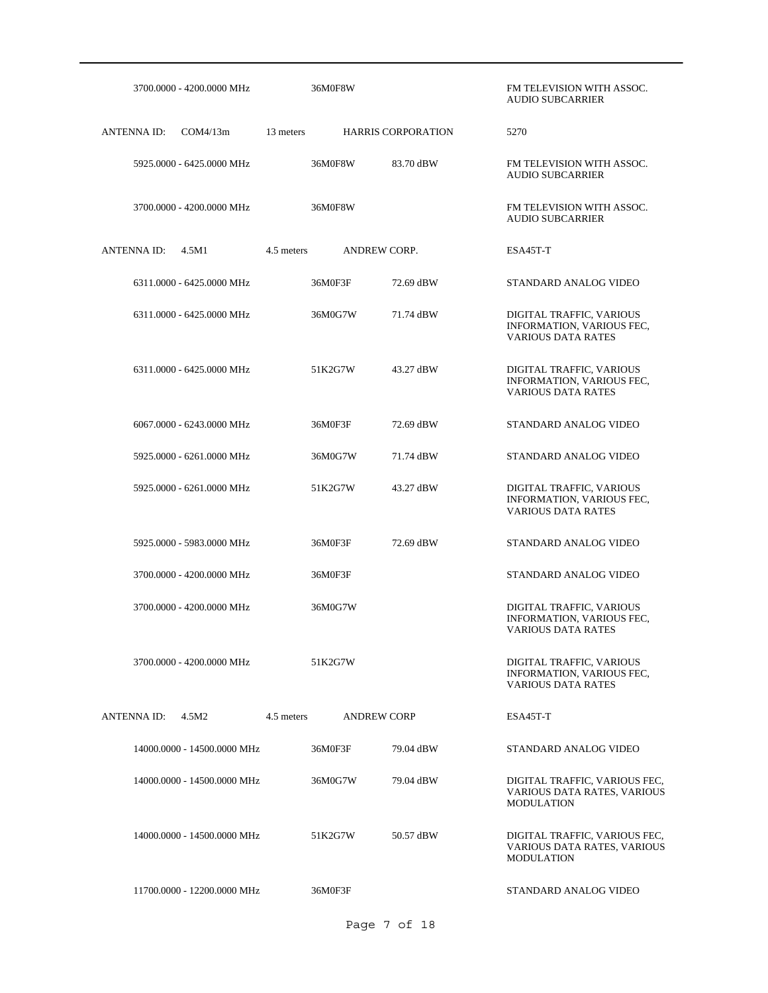| 3700.0000 - 4200.0000 MHz      | 36M0F8W                          |                           | FM TELEVISION WITH ASSOC.<br><b>AUDIO SUBCARRIER</b>                               |
|--------------------------------|----------------------------------|---------------------------|------------------------------------------------------------------------------------|
| <b>ANTENNA ID:</b><br>COM4/13m | 13 meters                        | <b>HARRIS CORPORATION</b> | 5270                                                                               |
| 5925,0000 - 6425,0000 MHz      | 36M0F8W                          | 83.70 dBW                 | FM TELEVISION WITH ASSOC.<br><b>AUDIO SUBCARRIER</b>                               |
| 3700.0000 - 4200.0000 MHz      | 36M0F8W                          |                           | FM TELEVISION WITH ASSOC.<br><b>AUDIO SUBCARRIER</b>                               |
| <b>ANTENNA ID:</b><br>4.5M1    | ANDREW CORP.<br>4.5 meters       |                           | ESA45T-T                                                                           |
| 6311.0000 - 6425.0000 MHz      | 36M0F3F                          | 72.69 dBW                 | STANDARD ANALOG VIDEO                                                              |
| 6311.0000 - 6425.0000 MHz      | 36M0G7W                          | 71.74 dBW                 | DIGITAL TRAFFIC, VARIOUS<br>INFORMATION, VARIOUS FEC,<br><b>VARIOUS DATA RATES</b> |
| 6311.0000 - 6425.0000 MHz      | 51K2G7W                          | 43.27 dBW                 | DIGITAL TRAFFIC, VARIOUS<br>INFORMATION, VARIOUS FEC,<br><b>VARIOUS DATA RATES</b> |
| 6067.0000 - 6243.0000 MHz      | 36M0F3F                          | 72.69 dBW                 | STANDARD ANALOG VIDEO                                                              |
| 5925.0000 - 6261.0000 MHz      | 36M0G7W                          | 71.74 dBW                 | STANDARD ANALOG VIDEO                                                              |
| 5925.0000 - 6261.0000 MHz      | 51K2G7W                          | 43.27 dBW                 | DIGITAL TRAFFIC, VARIOUS<br>INFORMATION, VARIOUS FEC,<br><b>VARIOUS DATA RATES</b> |
| 5925.0000 - 5983.0000 MHz      | 36M0F3F                          | 72.69 dBW                 | STANDARD ANALOG VIDEO                                                              |
| 3700.0000 - 4200.0000 MHz      | 36M0F3F                          |                           | STANDARD ANALOG VIDEO                                                              |
| 3700.0000 - 4200.0000 MHz      | 36M0G7W                          |                           | DIGITAL TRAFFIC, VARIOUS<br>INFORMATION, VARIOUS FEC,<br>VARIOUS DATA RATES        |
| 3700.0000 - 4200.0000 MHz      | 51K2G7W                          |                           | DIGITAL TRAFFIC, VARIOUS<br>INFORMATION, VARIOUS FEC,<br><b>VARIOUS DATA RATES</b> |
| <b>ANTENNAID:</b><br>4.5M2     | 4.5 meters<br><b>ANDREW CORP</b> |                           | ESA45T-T                                                                           |
| 14000.0000 - 14500.0000 MHz    | 36M0F3F                          | 79.04 dBW                 | STANDARD ANALOG VIDEO                                                              |
| 14000.0000 - 14500.0000 MHz    | 36M0G7W                          | 79.04 dBW                 | DIGITAL TRAFFIC, VARIOUS FEC,<br>VARIOUS DATA RATES, VARIOUS<br><b>MODULATION</b>  |
| 14000.0000 - 14500.0000 MHz    | 51K2G7W                          | 50.57 dBW                 | DIGITAL TRAFFIC, VARIOUS FEC,<br>VARIOUS DATA RATES, VARIOUS<br><b>MODULATION</b>  |
| 11700.0000 - 12200.0000 MHz    | 36M0F3F                          |                           | STANDARD ANALOG VIDEO                                                              |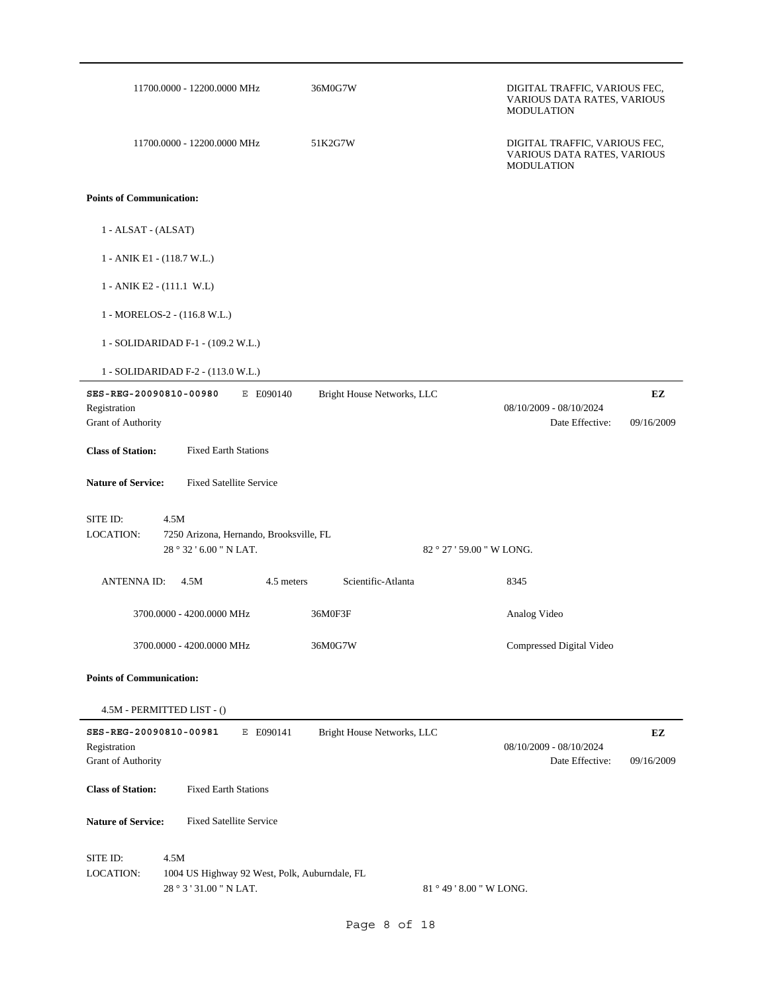|                                        | 11700.0000 - 12200.0000 MHz                                              | 36M0G7W                    | DIGITAL TRAFFIC, VARIOUS FEC,<br>VARIOUS DATA RATES, VARIOUS<br><b>MODULATION</b> |            |
|----------------------------------------|--------------------------------------------------------------------------|----------------------------|-----------------------------------------------------------------------------------|------------|
|                                        | 11700.0000 - 12200.0000 MHz                                              | 51K2G7W                    | DIGITAL TRAFFIC, VARIOUS FEC,<br>VARIOUS DATA RATES, VARIOUS<br><b>MODULATION</b> |            |
| <b>Points of Communication:</b>        |                                                                          |                            |                                                                                   |            |
| 1 - ALSAT - (ALSAT)                    |                                                                          |                            |                                                                                   |            |
|                                        | 1 - ANIK E1 - (118.7 W.L.)                                               |                            |                                                                                   |            |
|                                        | 1 - ANIK E2 - (111.1 W.L)                                                |                            |                                                                                   |            |
|                                        | 1 - MORELOS-2 - (116.8 W.L.)                                             |                            |                                                                                   |            |
|                                        | 1 - SOLIDARIDAD F-1 - (109.2 W.L.)                                       |                            |                                                                                   |            |
|                                        | 1 - SOLIDARIDAD F-2 - (113.0 W.L.)                                       |                            |                                                                                   |            |
| SES-REG-20090810-00980<br>Registration | E E090140                                                                | Bright House Networks, LLC | 08/10/2009 - 08/10/2024                                                           | EZ         |
| Grant of Authority                     |                                                                          |                            | Date Effective:                                                                   | 09/16/2009 |
| <b>Class of Station:</b>               | <b>Fixed Earth Stations</b>                                              |                            |                                                                                   |            |
| <b>Nature of Service:</b>              | <b>Fixed Satellite Service</b>                                           |                            |                                                                                   |            |
| SITE ID:                               | 4.5M                                                                     |                            |                                                                                   |            |
| LOCATION:                              | 7250 Arizona, Hernando, Brooksville, FL<br>28 ° 32 ' 6.00 " N LAT.       |                            | 82 ° 27 ' 59.00 " W LONG.                                                         |            |
| ANTENNA ID:                            | 4.5M<br>4.5 meters                                                       | Scientific-Atlanta         | 8345                                                                              |            |
|                                        | 3700.0000 - 4200.0000 MHz                                                | 36M0F3F                    | Analog Video                                                                      |            |
|                                        | 3700.0000 - 4200.0000 MHz                                                | 36M0G7W                    | Compressed Digital Video                                                          |            |
| <b>Points of Communication:</b>        |                                                                          |                            |                                                                                   |            |
|                                        | 4.5M - PERMITTED LIST - ()                                               |                            |                                                                                   |            |
| SES-REG-20090810-00981                 | E E090141                                                                | Bright House Networks, LLC |                                                                                   | EZ         |
| Registration<br>Grant of Authority     |                                                                          |                            | 08/10/2009 - 08/10/2024<br>Date Effective:                                        | 09/16/2009 |
| <b>Class of Station:</b>               | <b>Fixed Earth Stations</b>                                              |                            |                                                                                   |            |
| <b>Nature of Service:</b>              | <b>Fixed Satellite Service</b>                                           |                            |                                                                                   |            |
| SITE ID:<br>LOCATION:                  | 4.5M                                                                     |                            |                                                                                   |            |
|                                        | 1004 US Highway 92 West, Polk, Auburndale, FL<br>28 ° 3 ' 31.00 " N LAT. |                            | 81 ° 49 ' 8.00 " W LONG.                                                          |            |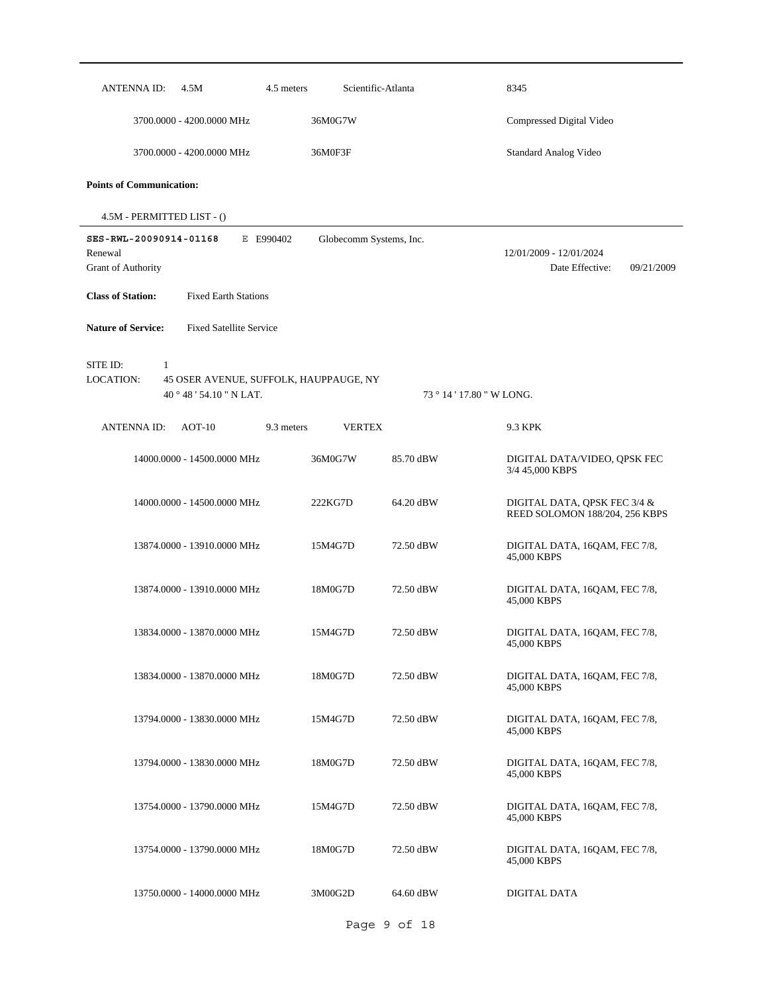| ANTENNA ID:<br>4.5M                                         | 4.5 meters                             | Scientific-Atlanta      | 8345                                                           |            |
|-------------------------------------------------------------|----------------------------------------|-------------------------|----------------------------------------------------------------|------------|
| 3700.0000 - 4200.0000 MHz                                   | 36M0G7W                                |                         | Compressed Digital Video                                       |            |
| 3700.0000 - 4200.0000 MHz                                   | 36M0F3F                                |                         | <b>Standard Analog Video</b>                                   |            |
| <b>Points of Communication:</b>                             |                                        |                         |                                                                |            |
| 4.5M - PERMITTED LIST - ()                                  |                                        |                         |                                                                |            |
| SES-RWL-20090914-01168                                      | E E990402                              | Globecomm Systems, Inc. |                                                                |            |
| Renewal<br>Grant of Authority                               |                                        |                         | 12/01/2009 - 12/01/2024<br>Date Effective:                     | 09/21/2009 |
|                                                             |                                        |                         |                                                                |            |
| <b>Class of Station:</b><br><b>Fixed Earth Stations</b>     |                                        |                         |                                                                |            |
| <b>Nature of Service:</b><br><b>Fixed Satellite Service</b> |                                        |                         |                                                                |            |
|                                                             |                                        |                         |                                                                |            |
| SITE ID:<br>1<br>LOCATION:                                  | 45 OSER AVENUE, SUFFOLK, HAUPPAUGE, NY |                         |                                                                |            |
| 40 ° 48 ' 54.10 " N LAT.                                    |                                        |                         | 73 ° 14 ' 17.80 " W LONG.                                      |            |
| <b>ANTENNA ID:</b><br>$AOT-10$                              | 9.3 meters                             | <b>VERTEX</b>           | 9.3 KPK                                                        |            |
| 14000.0000 - 14500.0000 MHz                                 | 36M0G7W                                | 85.70 dBW               | DIGITAL DATA/VIDEO, QPSK FEC<br>3/4 45,000 KBPS                |            |
| 14000.0000 - 14500.0000 MHz                                 | 222KG7D                                | 64.20 dBW               | DIGITAL DATA, QPSK FEC 3/4 &<br>REED SOLOMON 188/204, 256 KBPS |            |
| 13874.0000 - 13910.0000 MHz                                 | 15M4G7D                                | 72.50 dBW               | DIGITAL DATA, 16QAM, FEC 7/8,<br>45,000 KBPS                   |            |
| 13874.0000 - 13910.0000 MHz                                 | 18M0G7D                                | 72.50 dBW               | DIGITAL DATA, 16QAM, FEC 7/8,<br>45,000 KBPS                   |            |
| 13834.0000 - 13870.0000 MHz                                 | 15M4G7D                                | 72.50 dBW               | DIGITAL DATA, 16QAM, FEC 7/8,<br>45,000 KBPS                   |            |
| 13834.0000 - 13870.0000 MHz                                 | 18M0G7D                                | 72.50 dBW               | DIGITAL DATA, 16QAM, FEC 7/8,<br>45,000 KBPS                   |            |
| 13794.0000 - 13830.0000 MHz                                 | 15M4G7D                                | 72.50 dBW               | DIGITAL DATA, 16QAM, FEC 7/8,<br>45,000 KBPS                   |            |
| 13794.0000 - 13830.0000 MHz                                 | 18M0G7D                                | 72.50 dBW               | DIGITAL DATA, 16QAM, FEC 7/8,<br>45,000 KBPS                   |            |
| 13754.0000 - 13790.0000 MHz                                 | 15M4G7D                                | 72.50 dBW               | DIGITAL DATA, 16QAM, FEC 7/8,<br>45,000 KBPS                   |            |
| 13754.0000 - 13790.0000 MHz                                 | 18M0G7D                                | 72.50 dBW               | DIGITAL DATA, 16QAM, FEC 7/8,<br>45,000 KBPS                   |            |
| 13750.0000 - 14000.0000 MHz                                 | 3M00G2D                                | 64.60 dBW               | DIGITAL DATA                                                   |            |
|                                                             |                                        | Page 9 of 18            |                                                                |            |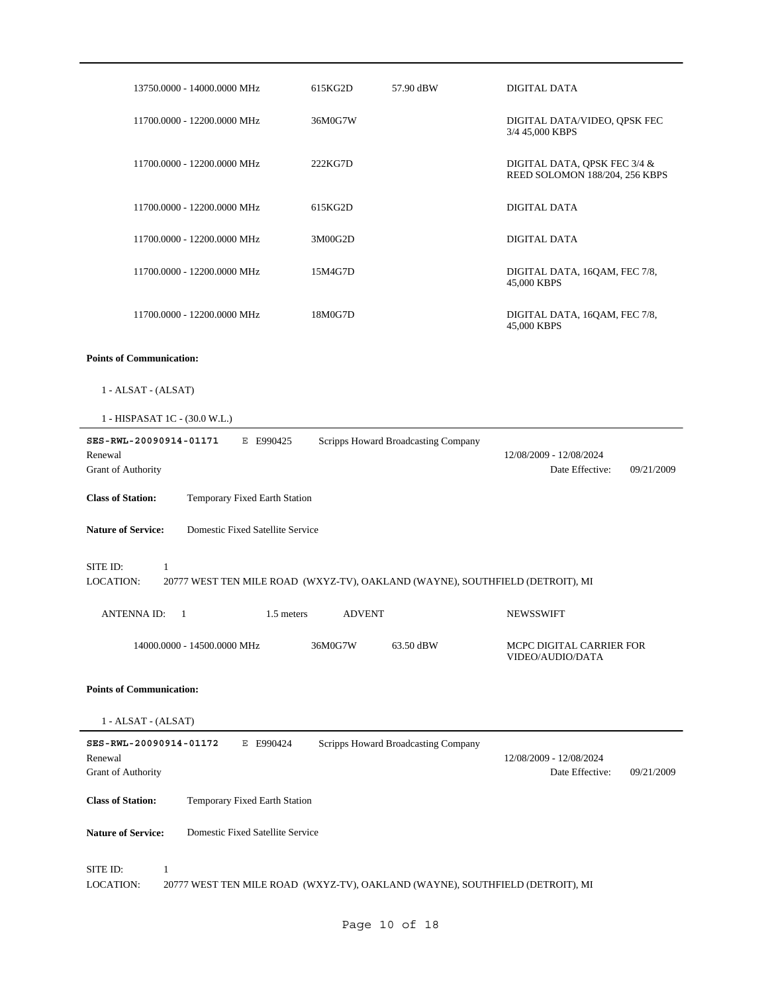| 13750.0000 - 14000.0000 MHz                                                                                 | 615KG2D       | 57.90 dBW                           | <b>DIGITAL DATA</b>                                            |
|-------------------------------------------------------------------------------------------------------------|---------------|-------------------------------------|----------------------------------------------------------------|
| 11700.0000 - 12200.0000 MHz                                                                                 | 36M0G7W       |                                     | DIGITAL DATA/VIDEO, QPSK FEC<br>3/4 45,000 KBPS                |
| 11700.0000 - 12200.0000 MHz                                                                                 | 222KG7D       |                                     | DIGITAL DATA, QPSK FEC 3/4 &<br>REED SOLOMON 188/204, 256 KBPS |
| 11700.0000 - 12200.0000 MHz                                                                                 | 615KG2D       |                                     | <b>DIGITAL DATA</b>                                            |
| 11700.0000 - 12200.0000 MHz                                                                                 | 3M00G2D       |                                     | <b>DIGITAL DATA</b>                                            |
| 11700.0000 - 12200.0000 MHz                                                                                 | 15M4G7D       |                                     | DIGITAL DATA, 16QAM, FEC 7/8,<br>45,000 KBPS                   |
| 11700.0000 - 12200.0000 MHz                                                                                 | 18M0G7D       |                                     | DIGITAL DATA, 16QAM, FEC 7/8,<br>45,000 KBPS                   |
| <b>Points of Communication:</b>                                                                             |               |                                     |                                                                |
| 1 - ALSAT - (ALSAT)                                                                                         |               |                                     |                                                                |
| 1 - HISPASAT 1C - (30.0 W.L.)                                                                               |               |                                     |                                                                |
| SES-RWL-20090914-01171<br>E E990425<br>Renewal<br>Grant of Authority                                        |               | Scripps Howard Broadcasting Company | 12/08/2009 - 12/08/2024<br>Date Effective:<br>09/21/2009       |
| <b>Class of Station:</b><br>Temporary Fixed Earth Station                                                   |               |                                     |                                                                |
|                                                                                                             |               |                                     |                                                                |
| Domestic Fixed Satellite Service<br><b>Nature of Service:</b>                                               |               |                                     |                                                                |
| SITE ID:<br>1<br>20777 WEST TEN MILE ROAD (WXYZ-TV), OAKLAND (WAYNE), SOUTHFIELD (DETROIT), MI<br>LOCATION: |               |                                     |                                                                |
| <b>ANTENNAID:</b><br>1.5 meters<br>$\overline{1}$                                                           | <b>ADVENT</b> |                                     | <b>NEWSSWIFT</b>                                               |
| 14000.0000 - 14500.0000 MHz                                                                                 | 36M0G7W       | 63.50 dBW                           | MCPC DIGITAL CARRIER FOR<br>VIDEO/AUDIO/DATA                   |
| <b>Points of Communication:</b>                                                                             |               |                                     |                                                                |
| $1 - ALSAT - (ALSAT)$                                                                                       |               |                                     |                                                                |
| SES-RWL-20090914-01172<br>E E990424<br>Renewal<br>Grant of Authority                                        |               | Scripps Howard Broadcasting Company | 12/08/2009 - 12/08/2024<br>Date Effective:<br>09/21/2009       |
| <b>Class of Station:</b><br>Temporary Fixed Earth Station                                                   |               |                                     |                                                                |
| Domestic Fixed Satellite Service<br><b>Nature of Service:</b>                                               |               |                                     |                                                                |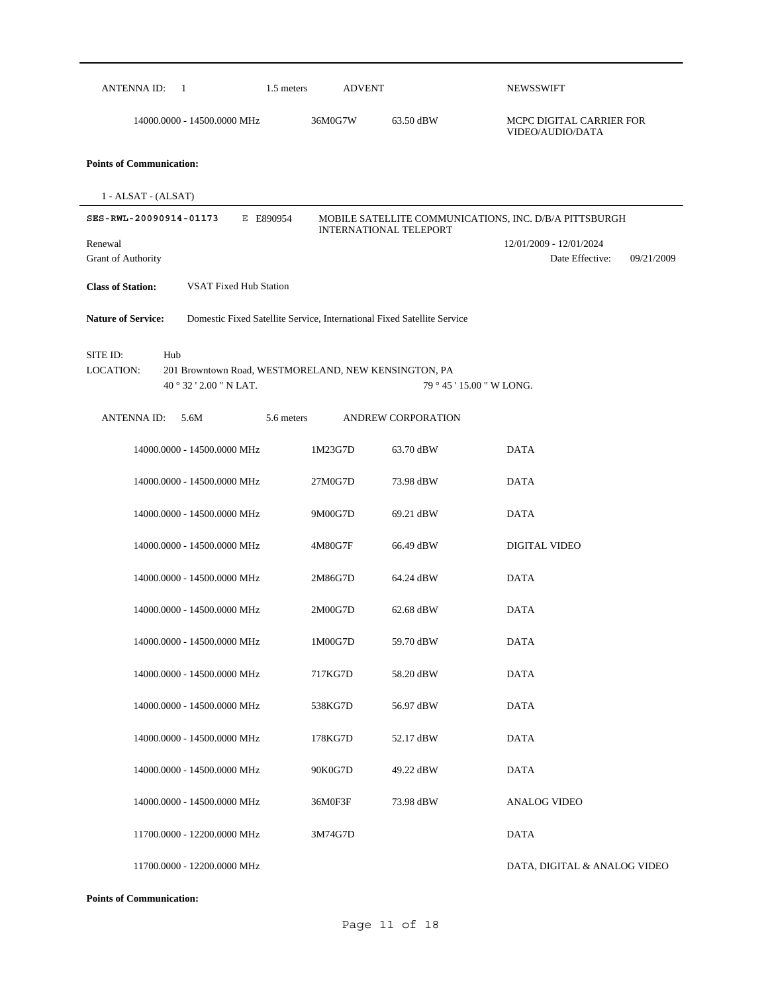| 1.5 meters<br>ANTENNA ID:<br>$\overline{1}$                                                                     | <b>ADVENT</b> |                               | NEWSSWIFT                                                |
|-----------------------------------------------------------------------------------------------------------------|---------------|-------------------------------|----------------------------------------------------------|
| 14000.0000 - 14500.0000 MHz                                                                                     | 36M0G7W       | 63.50 dBW                     | MCPC DIGITAL CARRIER FOR<br>VIDEO/AUDIO/DATA             |
| <b>Points of Communication:</b>                                                                                 |               |                               |                                                          |
| $1 - ALSAT - (ALSAT)$                                                                                           |               |                               |                                                          |
| SES-RWL-20090914-01173<br>E E890954                                                                             |               | <b>INTERNATIONAL TELEPORT</b> | MOBILE SATELLITE COMMUNICATIONS, INC. D/B/A PITTSBURGH   |
| Renewal<br>Grant of Authority                                                                                   |               |                               | 12/01/2009 - 12/01/2024<br>Date Effective:<br>09/21/2009 |
| <b>Class of Station:</b><br><b>VSAT Fixed Hub Station</b>                                                       |               |                               |                                                          |
| <b>Nature of Service:</b><br>Domestic Fixed Satellite Service, International Fixed Satellite Service            |               |                               |                                                          |
| SITE ID:<br>Hub<br>LOCATION:<br>201 Browntown Road, WESTMORELAND, NEW KENSINGTON, PA<br>40 ° 32 ' 2.00 " N LAT. |               | 79 ° 45 ' 15.00 " W LONG.     |                                                          |
| ANTENNA ID:<br>5.6M<br>5.6 meters                                                                               |               | <b>ANDREW CORPORATION</b>     |                                                          |
| 14000.0000 - 14500.0000 MHz                                                                                     | 1M23G7D       | 63.70 dBW                     | <b>DATA</b>                                              |
| 14000.0000 - 14500.0000 MHz                                                                                     | 27M0G7D       | 73.98 dBW                     | <b>DATA</b>                                              |
| 14000.0000 - 14500.0000 MHz                                                                                     | 9M00G7D       | 69.21 dBW                     | <b>DATA</b>                                              |
| 14000.0000 - 14500.0000 MHz                                                                                     | 4M80G7F       | 66.49 dBW                     | DIGITAL VIDEO                                            |
| 14000.0000 - 14500.0000 MHz                                                                                     | 2M86G7D       | 64.24 dBW                     | <b>DATA</b>                                              |
| 14000.0000 - 14500.0000 MHz                                                                                     | 2M00G7D       | 62.68 dBW                     | <b>DATA</b>                                              |
| 14000.0000 - 14500.0000 MHz                                                                                     | 1M00G7D       | 59.70 dBW                     | <b>DATA</b>                                              |
| 14000.0000 - 14500.0000 MHz                                                                                     | 717KG7D       | 58.20 dBW                     | <b>DATA</b>                                              |
| 14000.0000 - 14500.0000 MHz                                                                                     | 538KG7D       | 56.97 dBW                     | <b>DATA</b>                                              |
| 14000.0000 - 14500.0000 MHz                                                                                     | 178KG7D       | 52.17 dBW                     | <b>DATA</b>                                              |
| 14000.0000 - 14500.0000 MHz                                                                                     | 90K0G7D       | 49.22 dBW                     | <b>DATA</b>                                              |
| 14000.0000 - 14500.0000 MHz                                                                                     | 36M0F3F       | 73.98 dBW                     | <b>ANALOG VIDEO</b>                                      |
| 11700.0000 - 12200.0000 MHz                                                                                     | 3M74G7D       |                               | <b>DATA</b>                                              |
| 11700.0000 - 12200.0000 MHz                                                                                     |               |                               | DATA, DIGITAL & ANALOG VIDEO                             |

**Points of Communication:**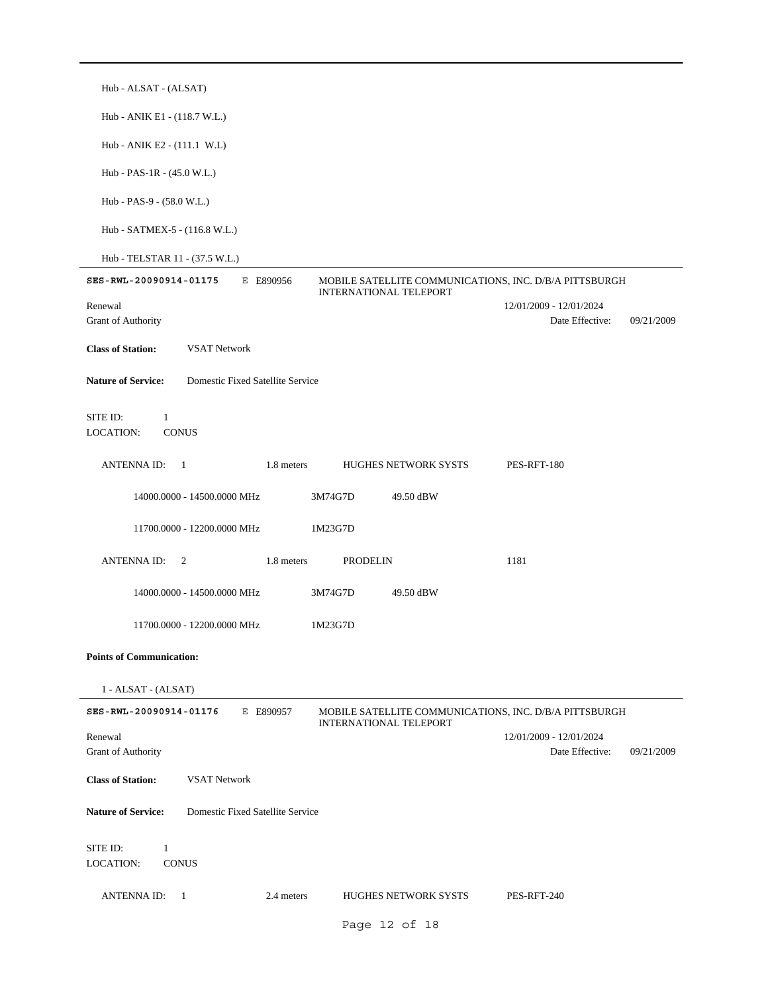| Hub - ALSAT - (ALSAT)                                                                                                          |                                                          |
|--------------------------------------------------------------------------------------------------------------------------------|----------------------------------------------------------|
| Hub - ANIK E1 - (118.7 W.L.)                                                                                                   |                                                          |
| Hub - ANIK E2 - $(111.1 \text{ W.L})$                                                                                          |                                                          |
| Hub - PAS-1R - (45.0 W.L.)                                                                                                     |                                                          |
| Hub - PAS-9 - (58.0 W.L.)                                                                                                      |                                                          |
| Hub - SATMEX-5 - (116.8 W.L.)                                                                                                  |                                                          |
| Hub - TELSTAR 11 - (37.5 W.L.)                                                                                                 |                                                          |
| SES-RWL-20090914-01175<br>E E890956<br>MOBILE SATELLITE COMMUNICATIONS, INC. D/B/A PITTSBURGH<br>INTERNATIONAL TELEPORT        |                                                          |
| Renewal<br>Grant of Authority                                                                                                  | 12/01/2009 - 12/01/2024<br>Date Effective:<br>09/21/2009 |
| <b>Class of Station:</b><br><b>VSAT Network</b>                                                                                |                                                          |
| <b>Nature of Service:</b><br>Domestic Fixed Satellite Service                                                                  |                                                          |
| SITE ID:<br>$\mathbf{1}$<br>LOCATION:<br><b>CONUS</b>                                                                          |                                                          |
| <b>ANTENNAID:</b><br>1.8 meters<br><b>HUGHES NETWORK SYSTS</b><br>$\overline{1}$                                               | PES-RFT-180                                              |
| 14000.0000 - 14500.0000 MHz<br>3M74G7D<br>49.50 dBW                                                                            |                                                          |
| 11700.0000 - 12200.0000 MHz<br>1M23G7D                                                                                         |                                                          |
| <b>ANTENNA ID:</b><br>1.8 meters<br>2<br><b>PRODELIN</b>                                                                       | 1181                                                     |
| 14000.0000 - 14500.0000 MHz<br>3M74G7D<br>49.50 dBW                                                                            |                                                          |
| 11700.0000 - 12200.0000 MHz<br>1M23G7D                                                                                         |                                                          |
| <b>Points of Communication:</b>                                                                                                |                                                          |
| 1 - ALSAT - (ALSAT)                                                                                                            |                                                          |
| SES-RWL-20090914-01176<br>E E890957<br>MOBILE SATELLITE COMMUNICATIONS, INC. D/B/A PITTSBURGH<br><b>INTERNATIONAL TELEPORT</b> |                                                          |
| Renewal<br>Grant of Authority                                                                                                  | 12/01/2009 - 12/01/2024<br>Date Effective:<br>09/21/2009 |
| <b>Class of Station:</b><br><b>VSAT Network</b>                                                                                |                                                          |
| <b>Nature of Service:</b><br>Domestic Fixed Satellite Service                                                                  |                                                          |
| SITE ID:<br>$\mathbf{1}$<br>LOCATION:<br><b>CONUS</b>                                                                          |                                                          |
| ANTENNA ID:<br>2.4 meters<br><b>HUGHES NETWORK SYSTS</b><br>- 1                                                                | PES-RFT-240                                              |
| Page 12 of 18                                                                                                                  |                                                          |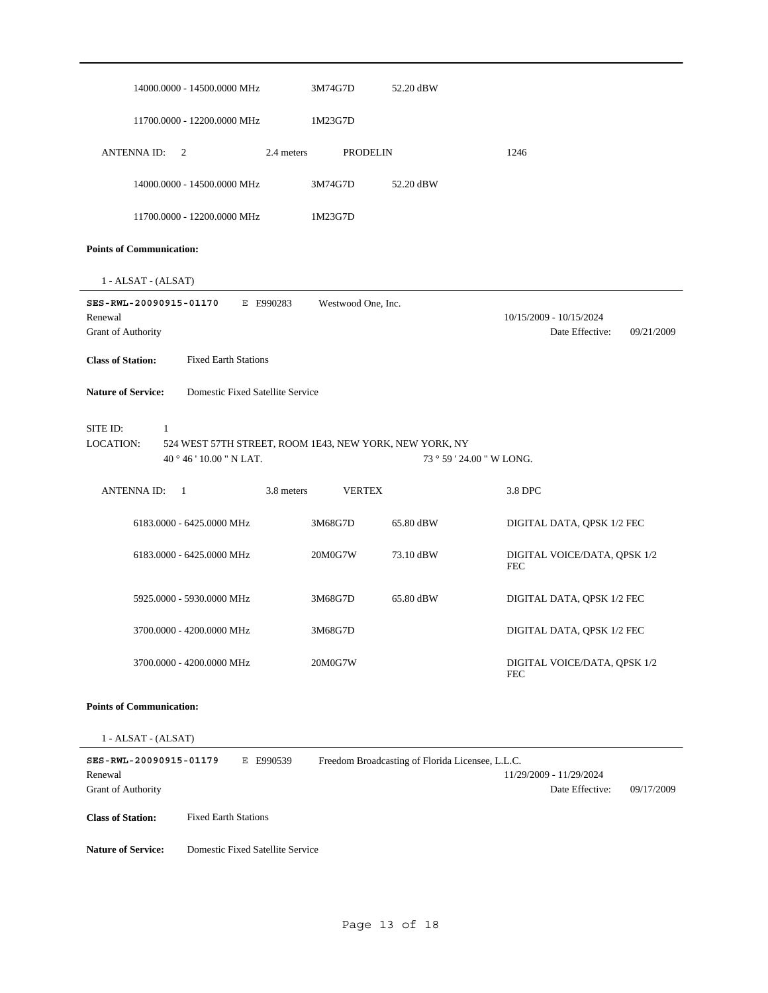| 14000.0000 - 14500.0000 MHz                                                                                       | 3M74G7D            | 52.20 dBW                                        |                                                          |
|-------------------------------------------------------------------------------------------------------------------|--------------------|--------------------------------------------------|----------------------------------------------------------|
| 11700.0000 - 12200.0000 MHz                                                                                       | 1M23G7D            |                                                  |                                                          |
| <b>ANTENNA ID:</b><br>2.4 meters<br>2                                                                             | <b>PRODELIN</b>    |                                                  | 1246                                                     |
| 14000.0000 - 14500.0000 MHz                                                                                       | 3M74G7D            | 52.20 dBW                                        |                                                          |
| 11700.0000 - 12200.0000 MHz                                                                                       | 1M23G7D            |                                                  |                                                          |
| <b>Points of Communication:</b>                                                                                   |                    |                                                  |                                                          |
| 1 - ALSAT - (ALSAT)                                                                                               |                    |                                                  |                                                          |
| SES-RWL-20090915-01170<br>E E990283<br>Renewal<br>Grant of Authority                                              | Westwood One, Inc. |                                                  | 10/15/2009 - 10/15/2024<br>Date Effective:<br>09/21/2009 |
| <b>Class of Station:</b><br><b>Fixed Earth Stations</b>                                                           |                    |                                                  |                                                          |
| <b>Nature of Service:</b><br>Domestic Fixed Satellite Service                                                     |                    |                                                  |                                                          |
| SITE ID:<br>1<br>LOCATION:<br>524 WEST 57TH STREET, ROOM 1E43, NEW YORK, NEW YORK, NY<br>40 ° 46 ' 10.00 " N LAT. |                    | 73 ° 59 ' 24.00 " W LONG.                        |                                                          |
|                                                                                                                   |                    |                                                  |                                                          |
| <b>ANTENNAID:</b><br>3.8 meters<br>-1                                                                             | <b>VERTEX</b>      |                                                  | 3.8 DPC                                                  |
| 6183.0000 - 6425.0000 MHz                                                                                         | 3M68G7D            | 65.80 dBW                                        | DIGITAL DATA, QPSK 1/2 FEC                               |
| 6183.0000 - 6425.0000 MHz                                                                                         | 20M0G7W            | 73.10 dBW                                        | DIGITAL VOICE/DATA, QPSK 1/2<br><b>FEC</b>               |
| 5925.0000 - 5930.0000 MHz                                                                                         | 3M68G7D            | 65.80 dBW                                        | DIGITAL DATA, QPSK 1/2 FEC                               |
| 3700.0000 - 4200.0000 MHz                                                                                         | 3M68G7D            |                                                  | DIGITAL DATA, QPSK 1/2 FEC                               |
| 3700.0000 - 4200.0000 MHz                                                                                         | 20M0G7W            |                                                  | DIGITAL VOICE/DATA, QPSK 1/2<br><b>FEC</b>               |
| <b>Points of Communication:</b>                                                                                   |                    |                                                  |                                                          |
| 1 - ALSAT - (ALSAT)                                                                                               |                    |                                                  |                                                          |
| SES-RWL-20090915-01179<br>E E990539<br>Renewal<br>Grant of Authority                                              |                    | Freedom Broadcasting of Florida Licensee, L.L.C. | 11/29/2009 - 11/29/2024<br>Date Effective:<br>09/17/2009 |
| <b>Class of Station:</b><br><b>Fixed Earth Stations</b>                                                           |                    |                                                  |                                                          |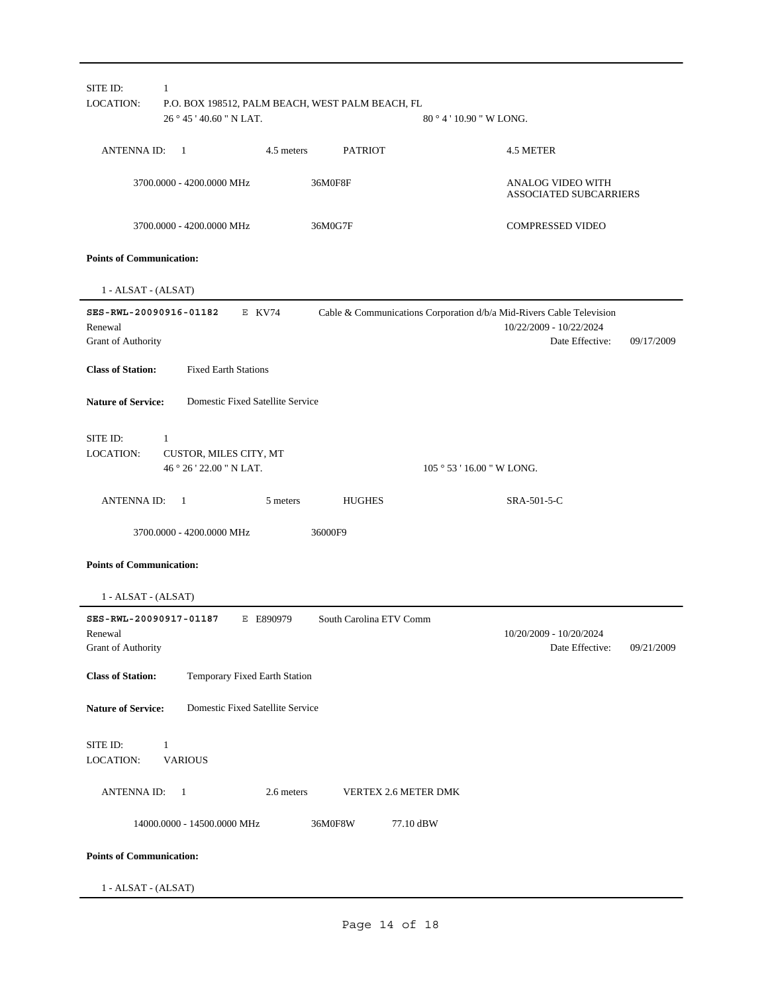| SITE ID:                                                | $\mathbf{1}$                                                               |            |                         |                                                                                                                                  |  |
|---------------------------------------------------------|----------------------------------------------------------------------------|------------|-------------------------|----------------------------------------------------------------------------------------------------------------------------------|--|
| LOCATION:                                               | P.O. BOX 198512, PALM BEACH, WEST PALM BEACH, FL<br>$26°45'40.60''$ N LAT. |            |                         | $80^{\circ}4'10.90''$ W LONG.                                                                                                    |  |
| <b>ANTENNA ID:</b>                                      | $\overline{1}$                                                             | 4.5 meters | <b>PATRIOT</b>          | 4.5 METER                                                                                                                        |  |
|                                                         | 3700.0000 - 4200.0000 MHz                                                  | 36M0F8F    |                         | ANALOG VIDEO WITH<br><b>ASSOCIATED SUBCARRIERS</b>                                                                               |  |
|                                                         | 3700.0000 - 4200.0000 MHz                                                  | 36M0G7F    |                         | <b>COMPRESSED VIDEO</b>                                                                                                          |  |
| <b>Points of Communication:</b>                         |                                                                            |            |                         |                                                                                                                                  |  |
| 1 - ALSAT - (ALSAT)                                     |                                                                            |            |                         |                                                                                                                                  |  |
| SES-RWL-20090916-01182<br>Renewal<br>Grant of Authority | E KV74                                                                     |            |                         | Cable & Communications Corporation d/b/a Mid-Rivers Cable Television<br>10/22/2009 - 10/22/2024<br>Date Effective:<br>09/17/2009 |  |
| <b>Class of Station:</b>                                | <b>Fixed Earth Stations</b>                                                |            |                         |                                                                                                                                  |  |
| <b>Nature of Service:</b>                               | Domestic Fixed Satellite Service                                           |            |                         |                                                                                                                                  |  |
| SITE ID:<br>LOCATION:                                   | 1<br>CUSTOR, MILES CITY, MT<br>46 ° 26 ' 22.00 " N LAT.                    |            |                         | 105 ° 53 ' 16.00 " W LONG.                                                                                                       |  |
|                                                         |                                                                            |            |                         |                                                                                                                                  |  |
| <b>ANTENNA ID:</b>                                      | $\overline{1}$                                                             | 5 meters   | <b>HUGHES</b>           | SRA-501-5-C                                                                                                                      |  |
|                                                         | 3700.0000 - 4200.0000 MHz                                                  | 36000F9    |                         |                                                                                                                                  |  |
| <b>Points of Communication:</b>                         |                                                                            |            |                         |                                                                                                                                  |  |
| 1 - ALSAT - (ALSAT)                                     |                                                                            |            |                         |                                                                                                                                  |  |
| SES-RWL-20090917-01187<br>Renewal<br>Grant of Authority |                                                                            | E E890979  | South Carolina ETV Comm | 10/20/2009 - 10/20/2024<br>Date Effective:<br>09/21/2009                                                                         |  |
| <b>Class of Station:</b>                                | Temporary Fixed Earth Station                                              |            |                         |                                                                                                                                  |  |
| <b>Nature of Service:</b>                               | Domestic Fixed Satellite Service                                           |            |                         |                                                                                                                                  |  |
| SITE ID:<br>LOCATION:                                   | $\mathbf{1}$<br><b>VARIOUS</b>                                             |            |                         |                                                                                                                                  |  |
| <b>ANTENNAID:</b>                                       | $\mathbf{1}$                                                               | 2.6 meters | VERTEX 2.6 METER DMK    |                                                                                                                                  |  |
|                                                         | 14000.0000 - 14500.0000 MHz                                                | 36M0F8W    | 77.10 dBW               |                                                                                                                                  |  |
| <b>Points of Communication:</b>                         |                                                                            |            |                         |                                                                                                                                  |  |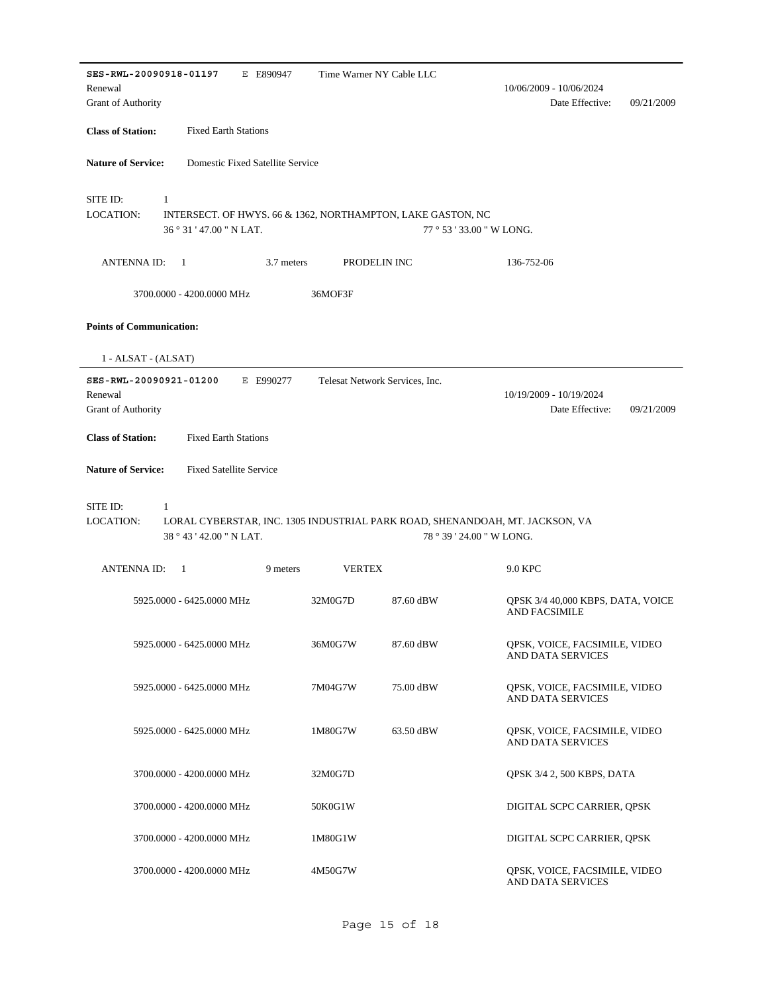| SES-RWL-20090918-01197<br>E E890947                                                                                          | Time Warner NY Cable LLC |                                |                                                           |
|------------------------------------------------------------------------------------------------------------------------------|--------------------------|--------------------------------|-----------------------------------------------------------|
| Renewal                                                                                                                      |                          |                                | 10/06/2009 - 10/06/2024                                   |
| Grant of Authority                                                                                                           |                          |                                | Date Effective:<br>09/21/2009                             |
| <b>Class of Station:</b><br><b>Fixed Earth Stations</b>                                                                      |                          |                                |                                                           |
| <b>Nature of Service:</b><br>Domestic Fixed Satellite Service                                                                |                          |                                |                                                           |
| SITE ID:<br>1                                                                                                                |                          |                                |                                                           |
| LOCATION:<br>INTERSECT. OF HWYS. 66 & 1362, NORTHAMPTON, LAKE GASTON, NC<br>36° 31′ 47.00 " N LAT.                           |                          |                                | 77 ° 53 ' 33.00 " W LONG.                                 |
| 3.7 meters<br><b>ANTENNAID:</b><br>-1                                                                                        | PRODELIN INC             |                                | 136-752-06                                                |
| 3700.0000 - 4200.0000 MHz                                                                                                    | 36MOF3F                  |                                |                                                           |
| <b>Points of Communication:</b>                                                                                              |                          |                                |                                                           |
| 1 - ALSAT - (ALSAT)                                                                                                          |                          |                                |                                                           |
| SES-RWL-20090921-01200<br>E E990277                                                                                          |                          | Telesat Network Services, Inc. |                                                           |
| Renewal<br>Grant of Authority                                                                                                |                          |                                | 10/19/2009 - 10/19/2024<br>Date Effective:<br>09/21/2009  |
| <b>Class of Station:</b><br><b>Fixed Earth Stations</b>                                                                      |                          |                                |                                                           |
|                                                                                                                              |                          |                                |                                                           |
| <b>Nature of Service:</b><br><b>Fixed Satellite Service</b>                                                                  |                          |                                |                                                           |
| SITE ID:<br>$\mathbf{1}$                                                                                                     |                          |                                |                                                           |
| <b>LOCATION:</b><br>LORAL CYBERSTAR, INC. 1305 INDUSTRIAL PARK ROAD, SHENANDOAH, MT. JACKSON, VA<br>38 ° 43 ' 42.00 " N LAT. |                          |                                | 78 ° 39 ' 24.00 " W LONG.                                 |
| <b>ANTENNA ID:</b><br>-1<br>9 meters                                                                                         | <b>VERTEX</b>            |                                | 9.0 KPC                                                   |
|                                                                                                                              |                          |                                |                                                           |
| 5925.0000 - 6425.0000 MHz                                                                                                    | 32M0G7D                  | 87.60 dBW                      | QPSK 3/4 40,000 KBPS, DATA, VOICE<br><b>AND FACSIMILE</b> |
| 5925.0000 - 6425.0000 MHz                                                                                                    | 36M0G7W                  | 87.60 dBW                      | QPSK, VOICE, FACSIMILE, VIDEO<br>AND DATA SERVICES        |
| 5925.0000 - 6425.0000 MHz                                                                                                    | 7M04G7W                  | 75.00 dBW                      | QPSK, VOICE, FACSIMILE, VIDEO<br><b>AND DATA SERVICES</b> |
| 5925.0000 - 6425.0000 MHz                                                                                                    | 1M80G7W                  | 63.50 dBW                      | QPSK, VOICE, FACSIMILE, VIDEO<br>AND DATA SERVICES        |
| 3700.0000 - 4200.0000 MHz                                                                                                    | 32M0G7D                  |                                | QPSK 3/4 2, 500 KBPS, DATA                                |
| 3700.0000 - 4200.0000 MHz                                                                                                    | 50K0G1W                  |                                | DIGITAL SCPC CARRIER, QPSK                                |
| 3700.0000 - 4200.0000 MHz                                                                                                    | 1M80G1W                  |                                | DIGITAL SCPC CARRIER, QPSK                                |
| 3700.0000 - 4200.0000 MHz                                                                                                    | 4M50G7W                  |                                | QPSK, VOICE, FACSIMILE, VIDEO<br>AND DATA SERVICES        |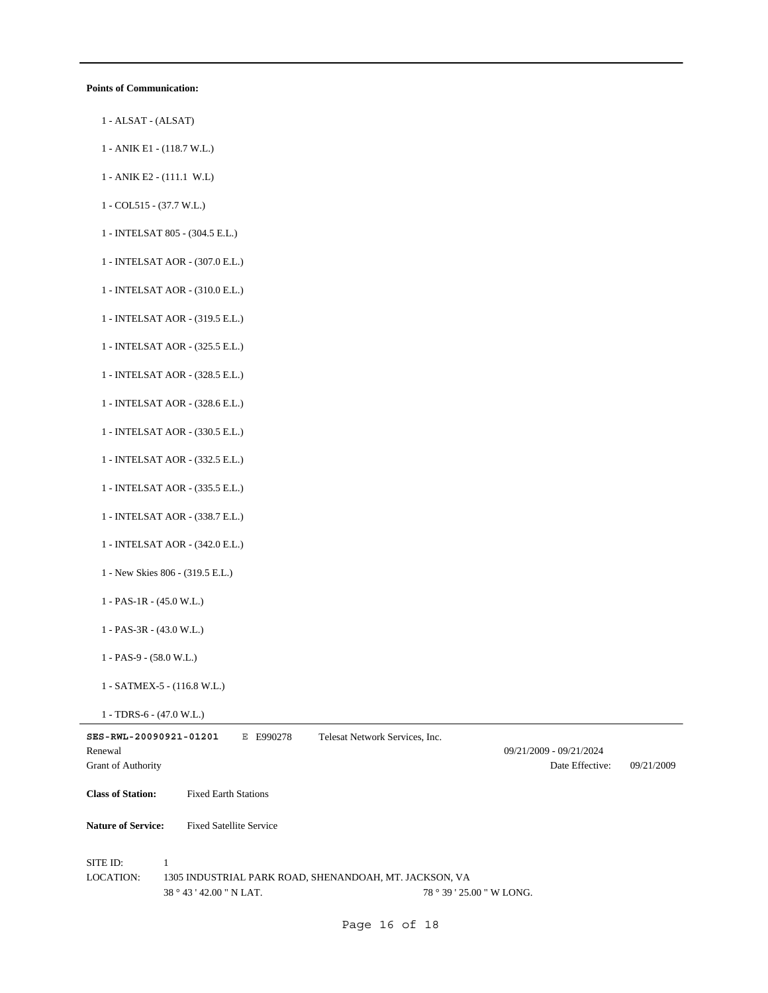#### **Points of Communication:**

- 1 ALSAT (ALSAT)
- 1 ANIK E1 (118.7 W.L.)
- 1 ANIK E2 (111.1 W.L)
- 1 COL515 (37.7 W.L.)
- 1 INTELSAT 805 (304.5 E.L.)
- 1 INTELSAT AOR (307.0 E.L.)
- 1 INTELSAT AOR (310.0 E.L.)
- 1 INTELSAT AOR (319.5 E.L.)
- 1 INTELSAT AOR (325.5 E.L.)
- 1 INTELSAT AOR (328.5 E.L.)
- 1 INTELSAT AOR (328.6 E.L.)
- 1 INTELSAT AOR (330.5 E.L.)
- 1 INTELSAT AOR (332.5 E.L.)
- 1 INTELSAT AOR (335.5 E.L.)
- 1 INTELSAT AOR (338.7 E.L.)
- 1 INTELSAT AOR (342.0 E.L.)
- 1 New Skies 806 (319.5 E.L.)
- 1 PAS-1R (45.0 W.L.)
- 1 PAS-3R (43.0 W.L.)
- 1 PAS-9 (58.0 W.L.)
- 1 SATMEX-5 (116.8 W.L.)
- 1 TDRS-6 (47.0 W.L.)

| SES-RWL-20090921-01201    |                                | E990278<br>Е | Telesat Network Services, Inc.                         |                           |                         |            |
|---------------------------|--------------------------------|--------------|--------------------------------------------------------|---------------------------|-------------------------|------------|
| Renewal                   |                                |              |                                                        |                           | 09/21/2009 - 09/21/2024 |            |
| <b>Grant of Authority</b> |                                |              |                                                        |                           | Date Effective:         | 09/21/2009 |
| <b>Class of Station:</b>  | <b>Fixed Earth Stations</b>    |              |                                                        |                           |                         |            |
| <b>Nature of Service:</b> | <b>Fixed Satellite Service</b> |              |                                                        |                           |                         |            |
| SITE ID:<br>LOCATION:     | $38^{\circ}43'42.00''$ N LAT.  |              | 1305 INDUSTRIAL PARK ROAD, SHENANDOAH, MT. JACKSON, VA | 78 ° 39 ' 25.00 " W LONG. |                         |            |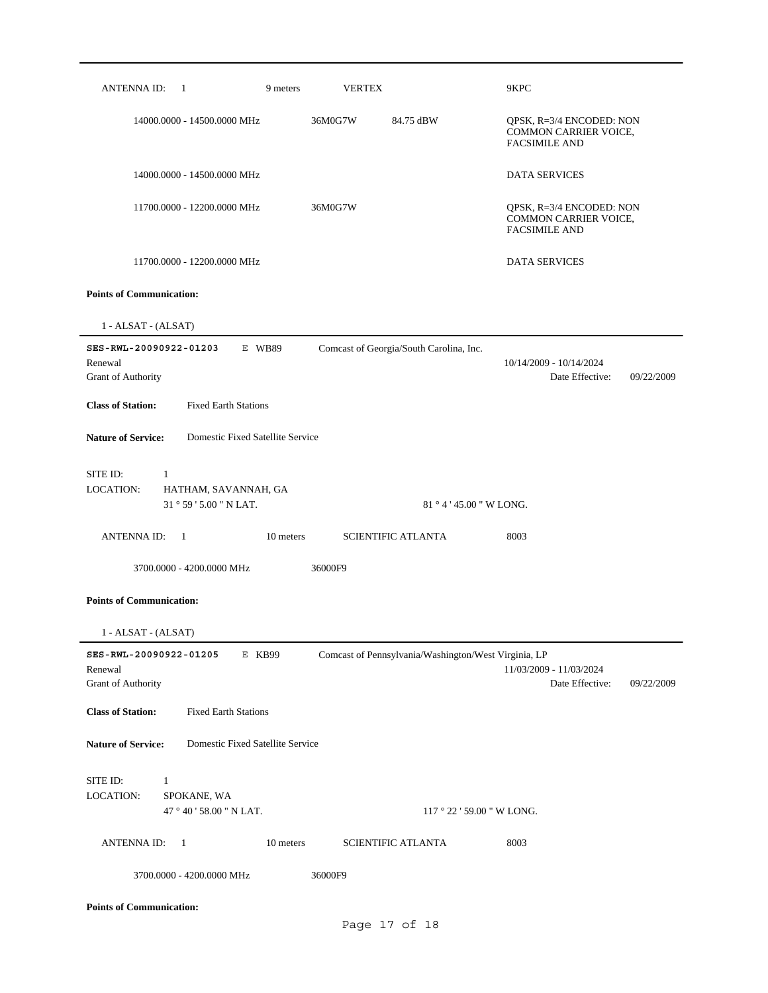| ANTENNA ID:<br>$\overline{1}$                                                    | 9 meters                         | <b>VERTEX</b>                                        | 9KPC                                                                             |
|----------------------------------------------------------------------------------|----------------------------------|------------------------------------------------------|----------------------------------------------------------------------------------|
| 14000.0000 - 14500.0000 MHz                                                      | 36M0G7W                          | 84.75 dBW                                            | QPSK, R=3/4 ENCODED: NON<br><b>COMMON CARRIER VOICE,</b><br><b>FACSIMILE AND</b> |
| 14000.0000 - 14500.0000 MHz                                                      |                                  |                                                      | <b>DATA SERVICES</b>                                                             |
| 11700.0000 - 12200.0000 MHz                                                      | 36M0G7W                          |                                                      | QPSK, R=3/4 ENCODED: NON<br>COMMON CARRIER VOICE,<br><b>FACSIMILE AND</b>        |
| 11700.0000 - 12200.0000 MHz                                                      |                                  |                                                      | <b>DATA SERVICES</b>                                                             |
| <b>Points of Communication:</b>                                                  |                                  |                                                      |                                                                                  |
| 1 - ALSAT - (ALSAT)                                                              |                                  |                                                      |                                                                                  |
| SES-RWL-20090922-01203<br>Renewal<br>Grant of Authority                          | E WB89                           | Comcast of Georgia/South Carolina, Inc.              | 10/14/2009 - 10/14/2024<br>Date Effective:<br>09/22/2009                         |
| <b>Class of Station:</b><br><b>Fixed Earth Stations</b>                          |                                  |                                                      |                                                                                  |
| <b>Nature of Service:</b>                                                        | Domestic Fixed Satellite Service |                                                      |                                                                                  |
| SITE ID:<br>1<br>LOCATION:<br>HATHAM, SAVANNAH, GA                               |                                  |                                                      |                                                                                  |
| 31 ° 59 ' 5.00 " N LAT.                                                          |                                  |                                                      | $81°4'45.00''$ W LONG.                                                           |
| <b>ANTENNA ID:</b><br>$\overline{1}$                                             | 10 meters                        | <b>SCIENTIFIC ATLANTA</b>                            | 8003                                                                             |
| 3700,0000 - 4200,0000 MHz                                                        | 36000F9                          |                                                      |                                                                                  |
| <b>Points of Communication:</b>                                                  |                                  |                                                      |                                                                                  |
| $1 - ALSAT - (ALSAT)$                                                            |                                  |                                                      |                                                                                  |
| SES-RWL-20090922-01205<br>Renewal<br>Grant of Authority                          | E KB99                           | Comcast of Pennsylvania/Washington/West Virginia, LP | 11/03/2009 - 11/03/2024<br>Date Effective:<br>09/22/2009                         |
| <b>Fixed Earth Stations</b><br><b>Class of Station:</b>                          |                                  |                                                      |                                                                                  |
| <b>Nature of Service:</b>                                                        | Domestic Fixed Satellite Service |                                                      |                                                                                  |
| SITE ID:<br>$\mathbf{1}$<br>LOCATION:<br>SPOKANE, WA<br>47 ° 40 ' 58.00 " N LAT. |                                  |                                                      | $117°22'59.00''$ W LONG.                                                         |
| <b>ANTENNA ID:</b><br>$\mathbf{1}$                                               | 10 meters                        | <b>SCIENTIFIC ATLANTA</b>                            | 8003                                                                             |
| 3700.0000 - 4200.0000 MHz                                                        | 36000F9                          |                                                      |                                                                                  |